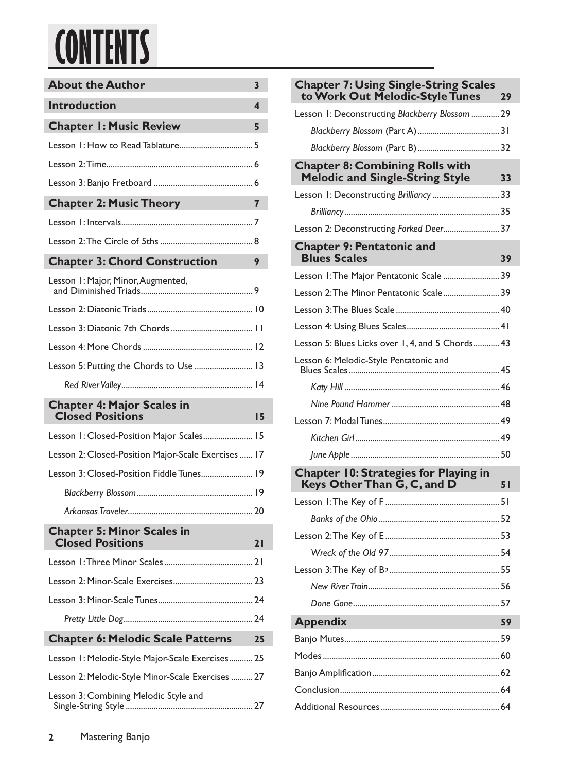# **CONTENTS**

| <b>About the Author</b>                                      |    |  |  |  |
|--------------------------------------------------------------|----|--|--|--|
| <b>Introduction</b>                                          |    |  |  |  |
| <b>Chapter I: Music Review</b>                               | 5  |  |  |  |
|                                                              |    |  |  |  |
|                                                              |    |  |  |  |
|                                                              |    |  |  |  |
| <b>Chapter 2: Music Theory</b>                               | 7  |  |  |  |
|                                                              |    |  |  |  |
|                                                              |    |  |  |  |
| <b>Chapter 3: Chord Construction</b>                         | 9  |  |  |  |
| Lesson I: Major, Minor, Augmented,                           |    |  |  |  |
|                                                              |    |  |  |  |
|                                                              |    |  |  |  |
|                                                              |    |  |  |  |
| Lesson 5: Putting the Chords to Use  13                      |    |  |  |  |
|                                                              |    |  |  |  |
|                                                              |    |  |  |  |
| <b>Chapter 4: Major Scales in</b><br><b>Closed Positions</b> | 15 |  |  |  |
| Lesson 1: Closed-Position Major Scales 15                    |    |  |  |  |
| Lesson 2: Closed-Position Major-Scale Exercises  17          |    |  |  |  |
| Lesson 3: Closed-Position Fiddle Tunes 19                    |    |  |  |  |
|                                                              |    |  |  |  |
|                                                              |    |  |  |  |
| <b>Chapter 5: Minor Scales in</b><br><b>Closed Positions</b> | 21 |  |  |  |
|                                                              |    |  |  |  |
|                                                              |    |  |  |  |
|                                                              |    |  |  |  |
|                                                              |    |  |  |  |
| <b>Chapter 6: Melodic Scale Patterns</b>                     | 25 |  |  |  |
| Lesson 1: Melodic-Style Major-Scale Exercises 25             |    |  |  |  |
| Lesson 2: Melodic-Style Minor-Scale Exercises  27            |    |  |  |  |

| <b>Chapter 7: Using Single-String Scales</b><br>to Work Out Melodic-Style Tunes<br>29  |
|----------------------------------------------------------------------------------------|
| Lesson 1: Deconstructing Blackberry Blossom  29                                        |
|                                                                                        |
|                                                                                        |
| <b>Chapter 8: Combining Rolls with</b><br><b>Melodic and Single-String Style</b><br>33 |
| Lesson 1: Deconstructing Brilliancy  33                                                |
|                                                                                        |
| Lesson 2: Deconstructing Forked Deer 37                                                |
| <b>Chapter 9: Pentatonic and</b><br><b>Blues Scales</b><br>39                          |
| Lesson 1: The Major Pentatonic Scale  39                                               |
| Lesson 2: The Minor Pentatonic Scale 39                                                |
|                                                                                        |
|                                                                                        |
| Lesson 5: Blues Licks over 1, 4, and 5 Chords 43                                       |
| Lesson 6: Melodic-Style Pentatonic and                                                 |
|                                                                                        |
|                                                                                        |
|                                                                                        |
|                                                                                        |
|                                                                                        |
| <b>Chapter 10: Strategies for Playing in</b><br>Keys Other Than G, C, and D<br>51      |
|                                                                                        |
|                                                                                        |
|                                                                                        |
|                                                                                        |
|                                                                                        |
|                                                                                        |
|                                                                                        |
| <b>Appendix</b><br>59                                                                  |
|                                                                                        |
|                                                                                        |
|                                                                                        |
|                                                                                        |
|                                                                                        |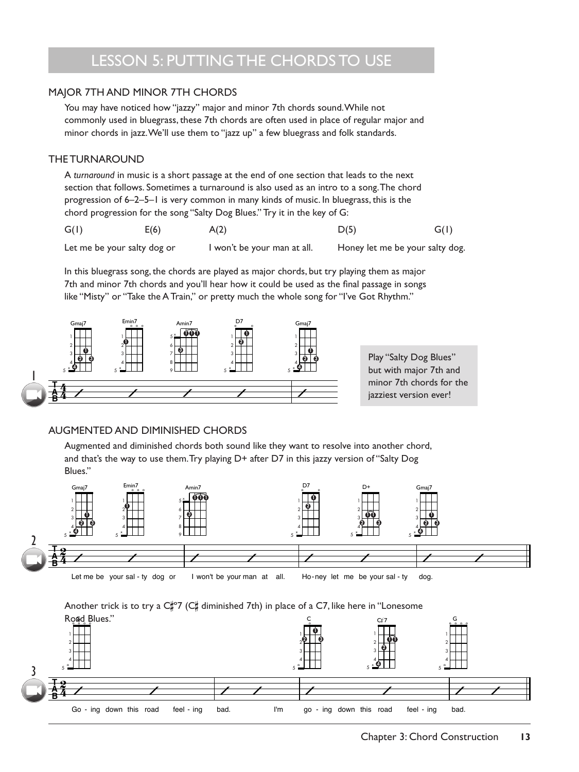## LESSON 5: PUTTING THE CHORDS TO USE

### MAJOR 7TH AND MINOR 7TH CHORDS

You may have noticed how "jazzy" major and minor 7th chords sound. While not commonly used in bluegrass, these 7th chords are often used in place of regular major and minor chords in jazz. We'll use them to "jazz up" a few bluegrass and folk standards.

### THE TURNAROUND

A *turnaround* in music is a short passage at the end of one section that leads to the next section that follows. Sometimes a turnaround is also used as an intro to a song. The chord progression of 6–2–5–1 is very common in many kinds of music. In bluegrass, this is the chord progression for the song "Salty Dog Blues." Try it in the key of G:

| G(I) | E(6) | A(2) | D(5) | G(I) |
|------|------|------|------|------|
|      |      |      |      |      |

Let me be your salty dog or I won't be your man at all. Honey let me be your salty dog.

In this bluegrass song, the chords are played as major chords, but try playing them as major 7th and minor 7th chords and you'll hear how it could be used as the final passage in songs like "Misty" or "Take the A Train," or pretty much the whole song for "I've Got Rhythm."



### AUGMENTED AND DIMINISHED CHORDS

Augmented and diminished chords both sound like they want to resolve into another chord, and that's the way to use them. Try playing D+ after D7 in this jazzy version of "Salty Dog Blues."



Another trick is to try a  $C_{\ast}^{\infty}$  ( $C_{\ast}^{\infty}$  diminished 7th) in place of a C7, like here in "Lonesome

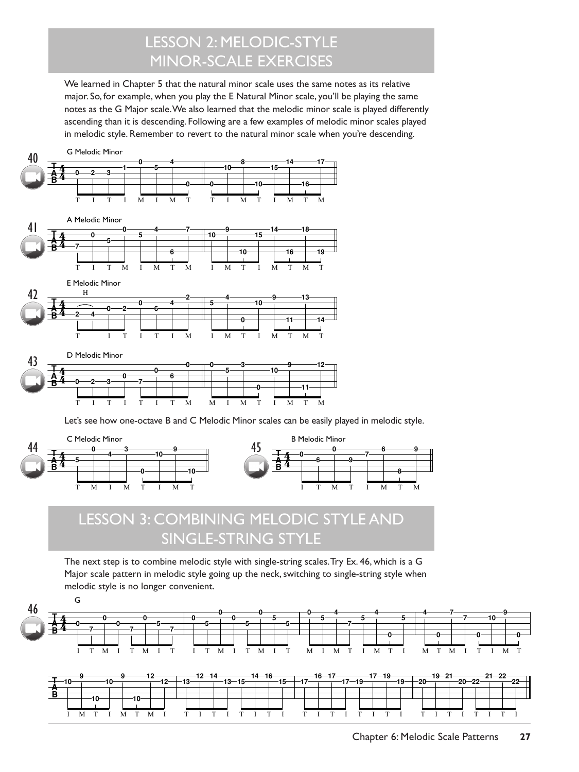# LESSON 2: MELODIC-STYLE MINOR-SCALE EXERCISES

We learned in Chapter 5 that the natural minor scale uses the same notes as its relative major. So, for example, when you play the E Natural Minor scale, you'll be playing the same notes as the G Major scale. We also learned that the melodic minor scale is played differently ascending than it is descending. Following are a few examples of melodic minor scales played in melodic style. Remember to revert to the natural minor scale when you're descending.





# LESSON 3: COMBINING MELODIC STYLE AND SINGLE-STRING STYLE

The next step is to combine melodic style with single-string scales. Try Ex. 46, which is a G Major scale pattern in melodic style going up the neck, switching to single-string style when G melodic style is no longer convenient. **<sup>0</sup> 0 0 0**

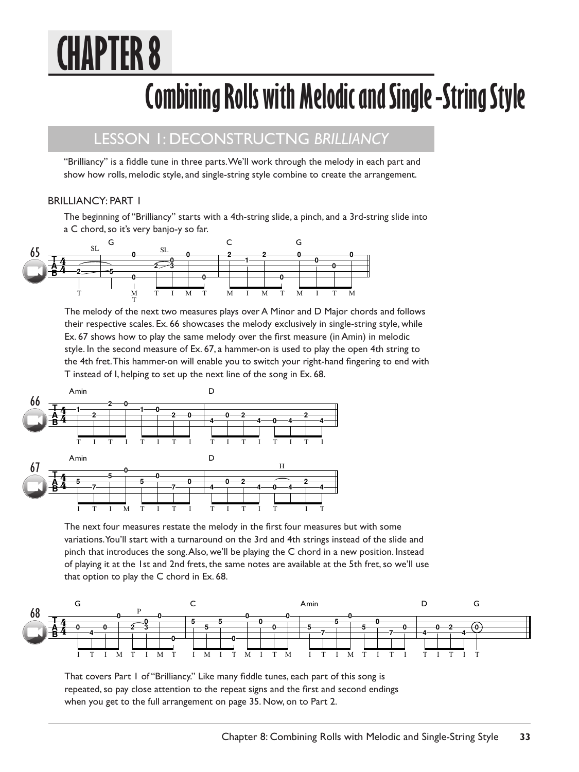# **CHAPTER 8**

# **Combining Rolls with Melodic and Single -String Style**

### LESSON 1: DECONSTRUCTNG *BRILLIANCY*

"Brilliancy" is a fiddle tune in three parts. We'll work through the melody in each part and show how rolls, melodic style, and single-string style combine to create the arrangement.

### BRILLIANCY: PART 1

The beginning of "Brilliancy" starts with a 4th-string slide, a pinch, and a 3rd-string slide into a C chord, so it's very banjo-y so far.



The melody of the next two measures plays over A Minor and D Major chords and follows their respective scales. Ex. 66 showcases the melody exclusively in single-string style, while Ex. 67 shows how to play the same melody over the first measure (in Amin) in melodic style. In the second measure of Ex. 67, a hammer-on is used to play the open 4th string to the 4th fret. This hammer-on will enable you to switch your right-hand fingering to end with T instead of I, helping to set up the next line of the song in Ex. 68.



The next four measures restate the melody in the first four measures but with some variations. You'll start with a turnaround on the 3rd and 4th strings instead of the slide and pinch that introduces the song. Also, we'll be playing the C chord in a new position. Instead of playing it at the 1st and 2nd frets, the same notes are available at the 5th fret, so we'll use that option to play the C chord in Ex. 68.



That covers Part 1 of "Brilliancy." Like many fiddle tunes, each part of this song is repeated, so pay close attention to the repeat signs and the first and second endings when you get to the full arrangement on page 35. Now, on to Part 2.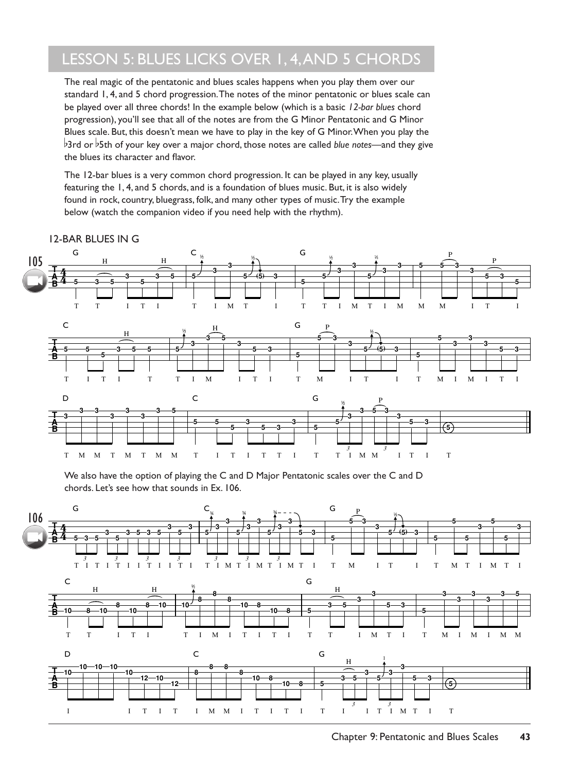# LESSON 5: BLUES LICKS OVER 1, 4, AND 5 CHORDS

The real magic of the pentatonic and blues scales happens when you play them over our standard 1, 4, and 5 chord progression. The notes of the minor pentatonic or blues scale can be played over all three chords! In the example below (which is a basic *12-bar blues* chord progression), you'll see that all of the notes are from the G Minor Pentatonic and G Minor Blues scale. But, this doesn't mean we have to play in the key of G Minor. When you play the b3rd or b5th of your key over a major chord, those notes are called *blue notes*—and they give the blues its character and flavor.

The 12-bar blues is a very common chord progression. It can be played in any key, usually featuring the 1, 4, and 5 chords, and is a foundation of blues music. But, it is also widely found in rock, country, bluegrass, folk, and many other types of music. Try the example below (watch the companion video if you need help with the rhythm).



12-BAR BLUES IN G

We also have the option of playing the C and D Major Pentatonic scales over the C and D chords. Let's see how that sounds in Ex. 106.